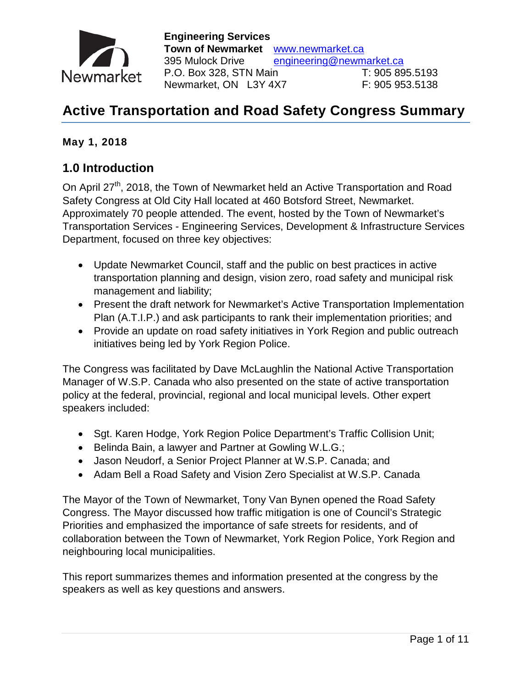

# **Active Transportation and Road Safety Congress Summary**

**May 1, 2018**

### **1.0 Introduction**

On April 27<sup>th</sup>, 2018, the Town of Newmarket held an Active Transportation and Road Safety Congress at Old City Hall located at 460 Botsford Street, Newmarket. Approximately 70 people attended. The event, hosted by the Town of Newmarket's Transportation Services - Engineering Services, Development & Infrastructure Services Department, focused on three key objectives:

- Update Newmarket Council, staff and the public on best practices in active transportation planning and design, vision zero, road safety and municipal risk management and liability;
- Present the draft network for Newmarket's Active Transportation Implementation Plan (A.T.I.P.) and ask participants to rank their implementation priorities; and
- Provide an update on road safety initiatives in York Region and public outreach initiatives being led by York Region Police.

The Congress was facilitated by Dave McLaughlin the National Active Transportation Manager of W.S.P. Canada who also presented on the state of active transportation policy at the federal, provincial, regional and local municipal levels. Other expert speakers included:

- Sgt. Karen Hodge, York Region Police Department's Traffic Collision Unit;
- Belinda Bain, a lawyer and Partner at Gowling W.L.G.;
- Jason Neudorf, a Senior Project Planner at W.S.P. Canada; and
- Adam Bell a Road Safety and Vision Zero Specialist at W.S.P. Canada

The Mayor of the Town of Newmarket, Tony Van Bynen opened the Road Safety Congress. The Mayor discussed how traffic mitigation is one of Council's Strategic Priorities and emphasized the importance of safe streets for residents, and of collaboration between the Town of Newmarket, York Region Police, York Region and neighbouring local municipalities.

This report summarizes themes and information presented at the congress by the speakers as well as key questions and answers.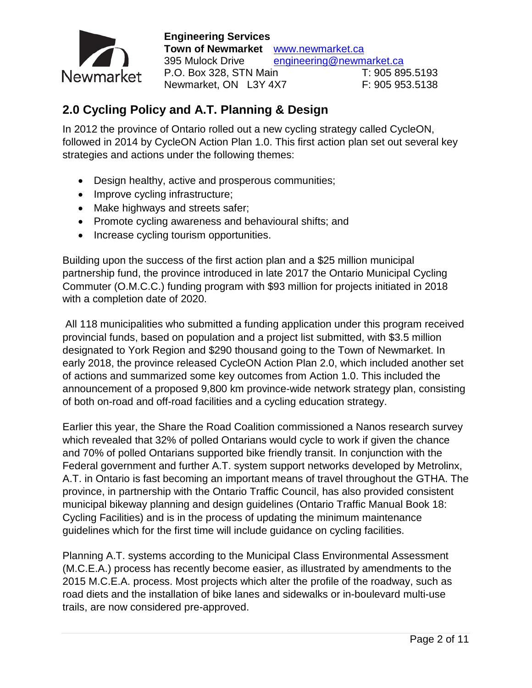

# **2.0 Cycling Policy and A.T. Planning & Design**

In 2012 the province of Ontario rolled out a new cycling strategy called CycleON, followed in 2014 by CycleON Action Plan 1.0. This first action plan set out several key strategies and actions under the following themes:

- Design healthy, active and prosperous communities;
- Improve cycling infrastructure;
- Make highways and streets safer;
- Promote cycling awareness and behavioural shifts; and
- Increase cycling tourism opportunities.

Building upon the success of the first action plan and a \$25 million municipal partnership fund, the province introduced in late 2017 the Ontario Municipal Cycling Commuter (O.M.C.C.) funding program with \$93 million for projects initiated in 2018 with a completion date of 2020.

All 118 municipalities who submitted a funding application under this program received provincial funds, based on population and a project list submitted, with \$3.5 million designated to York Region and \$290 thousand going to the Town of Newmarket. In early 2018, the province released CycleON Action Plan 2.0, which included another set of actions and summarized some key outcomes from Action 1.0. This included the announcement of a proposed 9,800 km province-wide network strategy plan, consisting of both on-road and off-road facilities and a cycling education strategy.

Earlier this year, the Share the Road Coalition commissioned a Nanos research survey which revealed that 32% of polled Ontarians would cycle to work if given the chance and 70% of polled Ontarians supported bike friendly transit. In conjunction with the Federal government and further A.T. system support networks developed by Metrolinx, A.T. in Ontario is fast becoming an important means of travel throughout the GTHA. The province, in partnership with the Ontario Traffic Council, has also provided consistent municipal bikeway planning and design guidelines (Ontario Traffic Manual Book 18: Cycling Facilities) and is in the process of updating the minimum maintenance guidelines which for the first time will include guidance on cycling facilities.

Planning A.T. systems according to the Municipal Class Environmental Assessment (M.C.E.A.) process has recently become easier, as illustrated by amendments to the 2015 M.C.E.A. process. Most projects which alter the profile of the roadway, such as road diets and the installation of bike lanes and sidewalks or in-boulevard multi-use trails, are now considered pre-approved.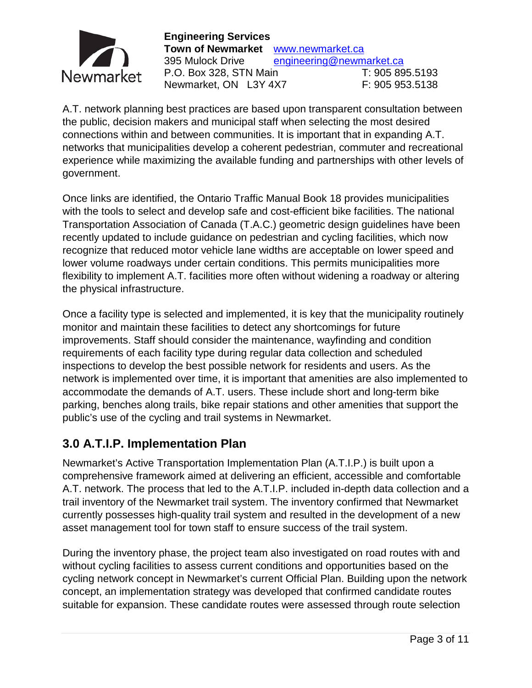

A.T. network planning best practices are based upon transparent consultation between the public, decision makers and municipal staff when selecting the most desired connections within and between communities. It is important that in expanding A.T. networks that municipalities develop a coherent pedestrian, commuter and recreational experience while maximizing the available funding and partnerships with other levels of government.

Once links are identified, the Ontario Traffic Manual Book 18 provides municipalities with the tools to select and develop safe and cost-efficient bike facilities. The national Transportation Association of Canada (T.A.C.) geometric design guidelines have been recently updated to include guidance on pedestrian and cycling facilities, which now recognize that reduced motor vehicle lane widths are acceptable on lower speed and lower volume roadways under certain conditions. This permits municipalities more flexibility to implement A.T. facilities more often without widening a roadway or altering the physical infrastructure.

Once a facility type is selected and implemented, it is key that the municipality routinely monitor and maintain these facilities to detect any shortcomings for future improvements. Staff should consider the maintenance, wayfinding and condition requirements of each facility type during regular data collection and scheduled inspections to develop the best possible network for residents and users. As the network is implemented over time, it is important that amenities are also implemented to accommodate the demands of A.T. users. These include short and long-term bike parking, benches along trails, bike repair stations and other amenities that support the public's use of the cycling and trail systems in Newmarket.

# **3.0 A.T.I.P. Implementation Plan**

Newmarket's Active Transportation Implementation Plan (A.T.I.P.) is built upon a comprehensive framework aimed at delivering an efficient, accessible and comfortable A.T. network. The process that led to the A.T.I.P. included in-depth data collection and a trail inventory of the Newmarket trail system. The inventory confirmed that Newmarket currently possesses high-quality trail system and resulted in the development of a new asset management tool for town staff to ensure success of the trail system.

During the inventory phase, the project team also investigated on road routes with and without cycling facilities to assess current conditions and opportunities based on the cycling network concept in Newmarket's current Official Plan. Building upon the network concept, an implementation strategy was developed that confirmed candidate routes suitable for expansion. These candidate routes were assessed through route selection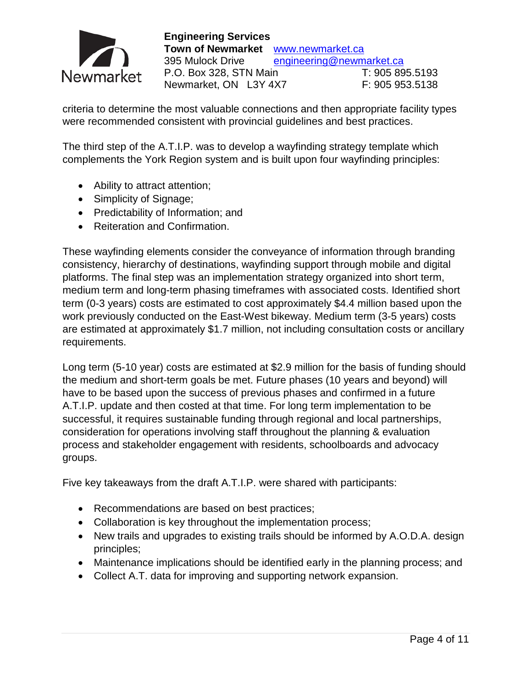

criteria to determine the most valuable connections and then appropriate facility types were recommended consistent with provincial guidelines and best practices.

The third step of the A.T.I.P. was to develop a wayfinding strategy template which complements the York Region system and is built upon four wayfinding principles:

- Ability to attract attention;
- Simplicity of Signage;
- Predictability of Information; and
- Reiteration and Confirmation.

These wayfinding elements consider the conveyance of information through branding consistency, hierarchy of destinations, wayfinding support through mobile and digital platforms. The final step was an implementation strategy organized into short term, medium term and long-term phasing timeframes with associated costs. Identified short term (0-3 years) costs are estimated to cost approximately \$4.4 million based upon the work previously conducted on the East-West bikeway. Medium term (3-5 years) costs are estimated at approximately \$1.7 million, not including consultation costs or ancillary requirements.

Long term (5-10 year) costs are estimated at \$2.9 million for the basis of funding should the medium and short-term goals be met. Future phases (10 years and beyond) will have to be based upon the success of previous phases and confirmed in a future A.T.I.P. update and then costed at that time. For long term implementation to be successful, it requires sustainable funding through regional and local partnerships, consideration for operations involving staff throughout the planning & evaluation process and stakeholder engagement with residents, schoolboards and advocacy groups.

Five key takeaways from the draft A.T.I.P. were shared with participants:

- Recommendations are based on best practices;
- Collaboration is key throughout the implementation process;
- New trails and upgrades to existing trails should be informed by A.O.D.A. design principles;
- Maintenance implications should be identified early in the planning process; and
- Collect A.T. data for improving and supporting network expansion.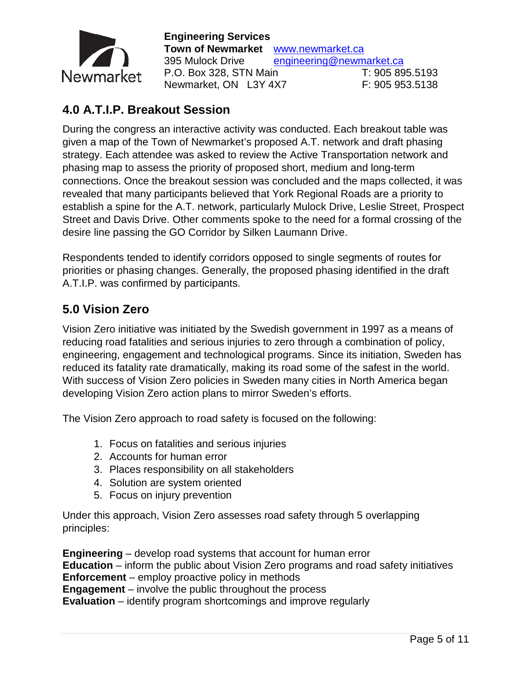

### **4.0 A.T.I.P. Breakout Session**

During the congress an interactive activity was conducted. Each breakout table was given a map of the Town of Newmarket's proposed A.T. network and draft phasing strategy. Each attendee was asked to review the Active Transportation network and phasing map to assess the priority of proposed short, medium and long-term connections. Once the breakout session was concluded and the maps collected, it was revealed that many participants believed that York Regional Roads are a priority to establish a spine for the A.T. network, particularly Mulock Drive, Leslie Street, Prospect Street and Davis Drive. Other comments spoke to the need for a formal crossing of the desire line passing the GO Corridor by Silken Laumann Drive.

Respondents tended to identify corridors opposed to single segments of routes for priorities or phasing changes. Generally, the proposed phasing identified in the draft A.T.I.P. was confirmed by participants.

### **5.0 Vision Zero**

Vision Zero initiative was initiated by the Swedish government in 1997 as a means of reducing road fatalities and serious injuries to zero through a combination of policy, engineering, engagement and technological programs. Since its initiation, Sweden has reduced its fatality rate dramatically, making its road some of the safest in the world. With success of Vision Zero policies in Sweden many cities in North America began developing Vision Zero action plans to mirror Sweden's efforts.

The Vision Zero approach to road safety is focused on the following:

- 1. Focus on fatalities and serious injuries
- 2. Accounts for human error
- 3. Places responsibility on all stakeholders
- 4. Solution are system oriented
- 5. Focus on injury prevention

Under this approach, Vision Zero assesses road safety through 5 overlapping principles:

**Engineering** – develop road systems that account for human error **Education** – inform the public about Vision Zero programs and road safety initiatives **Enforcement** – employ proactive policy in methods **Engagement** – involve the public throughout the process **Evaluation** – identify program shortcomings and improve regularly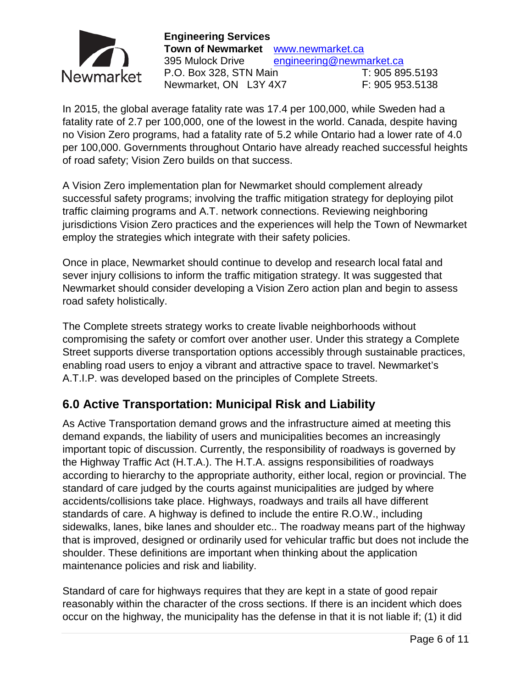

In 2015, the global average fatality rate was 17.4 per 100,000, while Sweden had a fatality rate of 2.7 per 100,000, one of the lowest in the world. Canada, despite having no Vision Zero programs, had a fatality rate of 5.2 while Ontario had a lower rate of 4.0 per 100,000. Governments throughout Ontario have already reached successful heights of road safety; Vision Zero builds on that success.

A Vision Zero implementation plan for Newmarket should complement already successful safety programs; involving the traffic mitigation strategy for deploying pilot traffic claiming programs and A.T. network connections. Reviewing neighboring jurisdictions Vision Zero practices and the experiences will help the Town of Newmarket employ the strategies which integrate with their safety policies.

Once in place, Newmarket should continue to develop and research local fatal and sever injury collisions to inform the traffic mitigation strategy. It was suggested that Newmarket should consider developing a Vision Zero action plan and begin to assess road safety holistically.

The Complete streets strategy works to create livable neighborhoods without compromising the safety or comfort over another user. Under this strategy a Complete Street supports diverse transportation options accessibly through sustainable practices, enabling road users to enjoy a vibrant and attractive space to travel. Newmarket's A.T.I.P. was developed based on the principles of Complete Streets.

# **6.0 Active Transportation: Municipal Risk and Liability**

As Active Transportation demand grows and the infrastructure aimed at meeting this demand expands, the liability of users and municipalities becomes an increasingly important topic of discussion. Currently, the responsibility of roadways is governed by the Highway Traffic Act (H.T.A.). The H.T.A. assigns responsibilities of roadways according to hierarchy to the appropriate authority, either local, region or provincial. The standard of care judged by the courts against municipalities are judged by where accidents/collisions take place. Highways, roadways and trails all have different standards of care. A highway is defined to include the entire R.O.W., including sidewalks, lanes, bike lanes and shoulder etc.. The roadway means part of the highway that is improved, designed or ordinarily used for vehicular traffic but does not include the shoulder. These definitions are important when thinking about the application maintenance policies and risk and liability.

Standard of care for highways requires that they are kept in a state of good repair reasonably within the character of the cross sections. If there is an incident which does occur on the highway, the municipality has the defense in that it is not liable if; (1) it did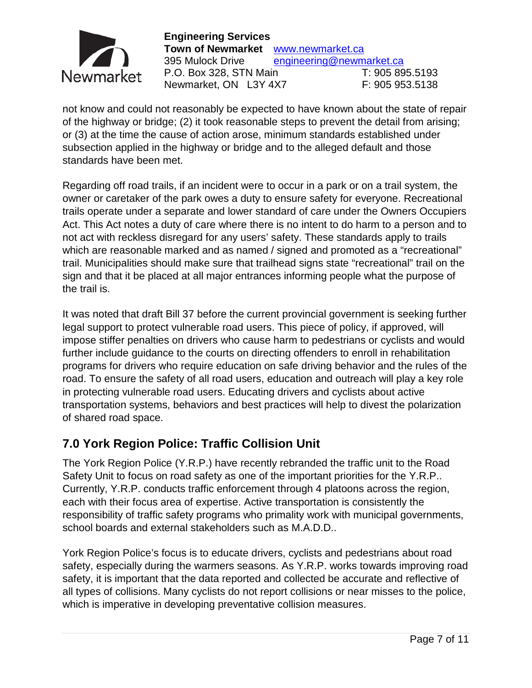

not know and could not reasonably be expected to have known about the state of repair of the highway or bridge; (2) it took reasonable steps to prevent the detail from arising; or (3) at the time the cause of action arose, minimum standards established under subsection applied in the highway or bridge and to the alleged default and those standards have been met.

Regarding off road trails, if an incident were to occur in a park or on a trail system, the owner or caretaker of the park owes a duty to ensure safety for everyone. Recreational trails operate under a separate and lower standard of care under the Owners Occupiers Act. This Act notes a duty of care where there is no intent to do harm to a person and to not act with reckless disregard for any users' safety. These standards apply to trails which are reasonable marked and as named / signed and promoted as a "recreational" trail. Municipalities should make sure that trailhead signs state "recreational" trail on the sign and that it be placed at all major entrances informing people what the purpose of the trail is.

It was noted that draft Bill 37 before the current provincial government is seeking further legal support to protect vulnerable road users. This piece of policy, if approved, will impose stiffer penalties on drivers who cause harm to pedestrians or cyclists and would further include guidance to the courts on directing offenders to enroll in rehabilitation programs for drivers who require education on safe driving behavior and the rules of the road. To ensure the safety of all road users, education and outreach will play a key role in protecting vulnerable road users. Educating drivers and cyclists about active transportation systems, behaviors and best practices will help to divest the polarization of shared road space.

# **7.0 York Region Police: Traffic Collision Unit**

The York Region Police (Y.R.P.) have recently rebranded the traffic unit to the Road Safety Unit to focus on road safety as one of the important priorities for the Y.R.P.. Currently, Y.R.P. conducts traffic enforcement through 4 platoons across the region, each with their focus area of expertise. Active transportation is consistently the responsibility of traffic safety programs who primality work with municipal governments, school boards and external stakeholders such as M.A.D.D..

York Region Police's focus is to educate drivers, cyclists and pedestrians about road safety, especially during the warmers seasons. As Y.R.P. works towards improving road safety, it is important that the data reported and collected be accurate and reflective of all types of collisions. Many cyclists do not report collisions or near misses to the police, which is imperative in developing preventative collision measures.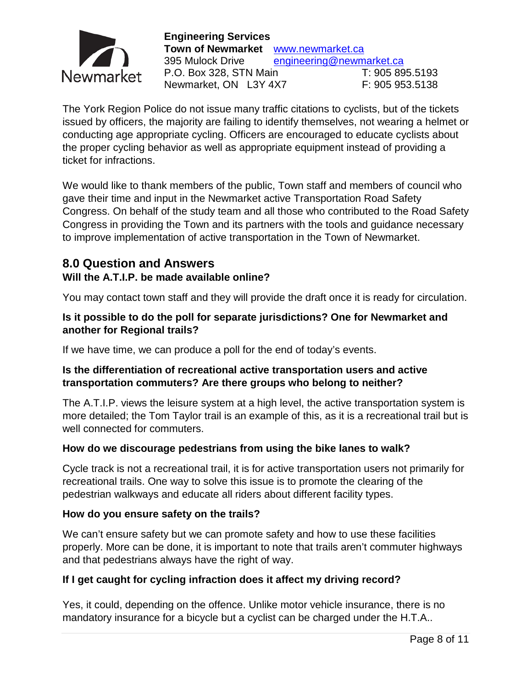

The York Region Police do not issue many traffic citations to cyclists, but of the tickets issued by officers, the majority are failing to identify themselves, not wearing a helmet or conducting age appropriate cycling. Officers are encouraged to educate cyclists about the proper cycling behavior as well as appropriate equipment instead of providing a ticket for infractions.

We would like to thank members of the public, Town staff and members of council who gave their time and input in the Newmarket active Transportation Road Safety Congress. On behalf of the study team and all those who contributed to the Road Safety Congress in providing the Town and its partners with the tools and guidance necessary to improve implementation of active transportation in the Town of Newmarket.

#### **8.0 Question and Answers Will the A.T.I.P. be made available online?**

You may contact town staff and they will provide the draft once it is ready for circulation.

#### **Is it possible to do the poll for separate jurisdictions? One for Newmarket and another for Regional trails?**

If we have time, we can produce a poll for the end of today's events.

#### **Is the differentiation of recreational active transportation users and active transportation commuters? Are there groups who belong to neither?**

The A.T.I.P. views the leisure system at a high level, the active transportation system is more detailed; the Tom Taylor trail is an example of this, as it is a recreational trail but is well connected for commuters.

#### **How do we discourage pedestrians from using the bike lanes to walk?**

Cycle track is not a recreational trail, it is for active transportation users not primarily for recreational trails. One way to solve this issue is to promote the clearing of the pedestrian walkways and educate all riders about different facility types.

#### **How do you ensure safety on the trails?**

We can't ensure safety but we can promote safety and how to use these facilities properly. More can be done, it is important to note that trails aren't commuter highways and that pedestrians always have the right of way.

#### **If I get caught for cycling infraction does it affect my driving record?**

Yes, it could, depending on the offence. Unlike motor vehicle insurance, there is no mandatory insurance for a bicycle but a cyclist can be charged under the H.T.A..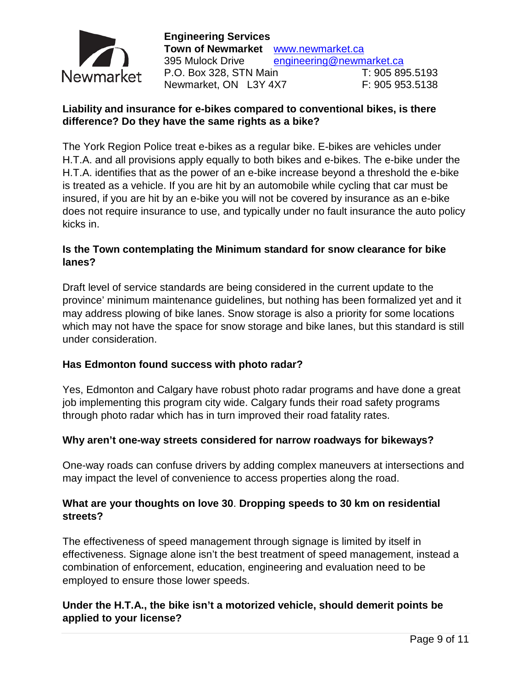

#### **Liability and insurance for e-bikes compared to conventional bikes, is there difference? Do they have the same rights as a bike?**

The York Region Police treat e-bikes as a regular bike. E-bikes are vehicles under H.T.A. and all provisions apply equally to both bikes and e-bikes. The e-bike under the H.T.A. identifies that as the power of an e-bike increase beyond a threshold the e-bike is treated as a vehicle. If you are hit by an automobile while cycling that car must be insured, if you are hit by an e-bike you will not be covered by insurance as an e-bike does not require insurance to use, and typically under no fault insurance the auto policy kicks in.

#### **Is the Town contemplating the Minimum standard for snow clearance for bike lanes?**

Draft level of service standards are being considered in the current update to the province' minimum maintenance guidelines, but nothing has been formalized yet and it may address plowing of bike lanes. Snow storage is also a priority for some locations which may not have the space for snow storage and bike lanes, but this standard is still under consideration.

#### **Has Edmonton found success with photo radar?**

Yes, Edmonton and Calgary have robust photo radar programs and have done a great job implementing this program city wide. Calgary funds their road safety programs through photo radar which has in turn improved their road fatality rates.

#### **Why aren't one-way streets considered for narrow roadways for bikeways?**

One-way roads can confuse drivers by adding complex maneuvers at intersections and may impact the level of convenience to access properties along the road.

#### **What are your thoughts on love 30**. **Dropping speeds to 30 km on residential streets?**

The effectiveness of speed management through signage is limited by itself in effectiveness. Signage alone isn't the best treatment of speed management, instead a combination of enforcement, education, engineering and evaluation need to be employed to ensure those lower speeds.

#### **Under the H.T.A., the bike isn't a motorized vehicle, should demerit points be applied to your license?**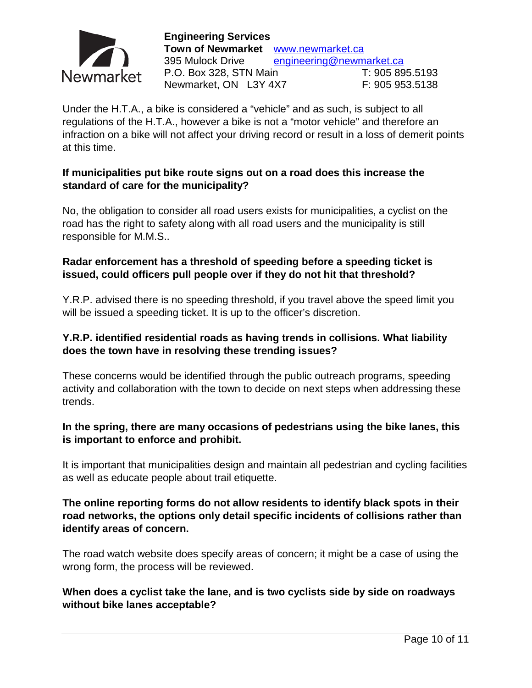

Under the H.T.A., a bike is considered a "vehicle" and as such, is subject to all regulations of the H.T.A., however a bike is not a "motor vehicle" and therefore an infraction on a bike will not affect your driving record or result in a loss of demerit points at this time.

#### **If municipalities put bike route signs out on a road does this increase the standard of care for the municipality?**

No, the obligation to consider all road users exists for municipalities, a cyclist on the road has the right to safety along with all road users and the municipality is still responsible for M.M.S..

#### **Radar enforcement has a threshold of speeding before a speeding ticket is issued, could officers pull people over if they do not hit that threshold?**

Y.R.P. advised there is no speeding threshold, if you travel above the speed limit you will be issued a speeding ticket. It is up to the officer's discretion.

#### **Y.R.P. identified residential roads as having trends in collisions. What liability does the town have in resolving these trending issues?**

These concerns would be identified through the public outreach programs, speeding activity and collaboration with the town to decide on next steps when addressing these trends.

#### **In the spring, there are many occasions of pedestrians using the bike lanes, this is important to enforce and prohibit.**

It is important that municipalities design and maintain all pedestrian and cycling facilities as well as educate people about trail etiquette.

#### **The online reporting forms do not allow residents to identify black spots in their road networks, the options only detail specific incidents of collisions rather than identify areas of concern.**

The road watch website does specify areas of concern; it might be a case of using the wrong form, the process will be reviewed.

#### **When does a cyclist take the lane, and is two cyclists side by side on roadways without bike lanes acceptable?**